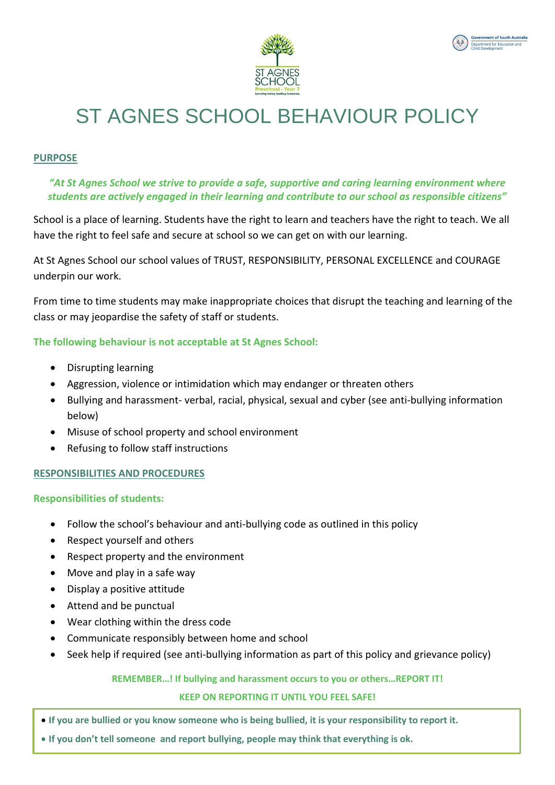



# ST AGNES SCHOOL BEHAVIOUR POLICY

#### **PURPOSE**

#### *"At St Agnes School we strive to provide a safe, supportive and caring learning environment where students are actively engaged in their learning and contribute to our school as responsible citizens"*

School is a place of learning. Students have the right to learn and teachers have the right to teach. We all have the right to feel safe and secure at school so we can get on with our learning.

At St Agnes School our school values of TRUST, RESPONSIBILITY, PERSONAL EXCELLENCE and COURAGE underpin our work.

From time to time students may make inappropriate choices that disrupt the teaching and learning of the class or may jeopardise the safety of staff or students.

#### **The following behaviour is not acceptable at St Agnes School:**

- Disrupting learning
- Aggression, violence or intimidation which may endanger or threaten others
- Bullying and harassment- verbal, racial, physical, sexual and cyber (see anti-bullying information below)
- Misuse of school property and school environment
- Refusing to follow staff instructions

#### **RESPONSIBILITIES AND PROCEDURES**

**Responsibilities of students:** 

- Follow the school's behaviour and anti-bullying code as outlined in this policy
- Respect yourself and others
- Respect property and the environment
- Move and play in a safe way
- Display a positive attitude
- Attend and be punctual
- Wear clothing within the dress code
- Communicate responsibly between home and school
- Seek help if required (see anti-bullying information as part of this policy and grievance policy)

#### **REMEMBER…! If bullying and harassment occurs to you or others…REPORT IT!**

#### **KEEP ON REPORTING IT UNTIL YOU FEEL SAFE!**

- **If you are bullied or you know someone who is being bullied, it is your responsibility to report it.**
- **If you don't tell someone and report bullying, people may think that everything is ok.**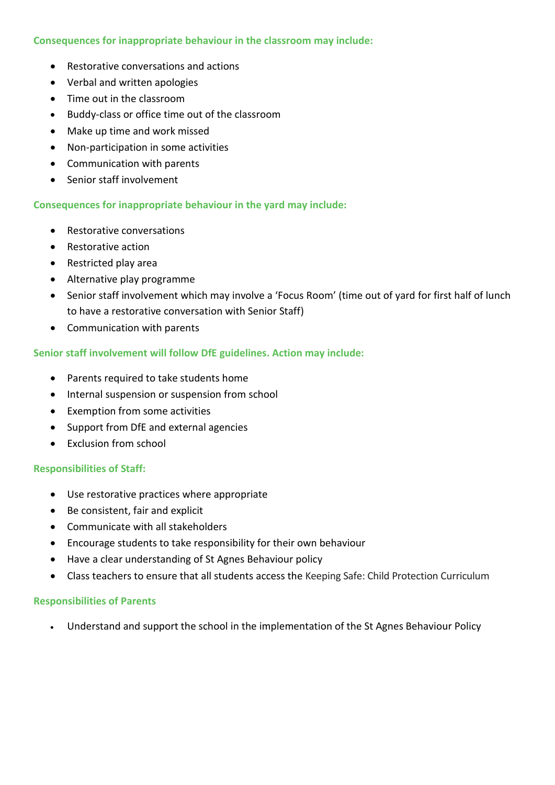#### **Consequences for inappropriate behaviour in the classroom may include:**

- Restorative conversations and actions
- Verbal and written apologies
- Time out in the classroom
- Buddy-class or office time out of the classroom
- Make up time and work missed
- Non-participation in some activities
- Communication with parents
- Senior staff involvement

#### **Consequences for inappropriate behaviour in the yard may include:**

- Restorative conversations
- Restorative action
- Restricted play area
- Alternative play programme
- Senior staff involvement which may involve a 'Focus Room' (time out of yard for first half of lunch to have a restorative conversation with Senior Staff)
- Communication with parents

#### **Senior staff involvement will follow DfE guidelines. Action may include:**

- Parents required to take students home
- Internal suspension or suspension from school
- Exemption from some activities
- Support from DfE and external agencies
- Exclusion from school

#### **Responsibilities of Staff:**

- Use restorative practices where appropriate
- Be consistent, fair and explicit
- Communicate with all stakeholders
- Encourage students to take responsibility for their own behaviour
- Have a clear understanding of St Agnes Behaviour policy
- Class teachers to ensure that all students access the Keeping Safe: Child Protection Curriculum

#### **Responsibilities of Parents**

Understand and support the school in the implementation of the St Agnes Behaviour Policy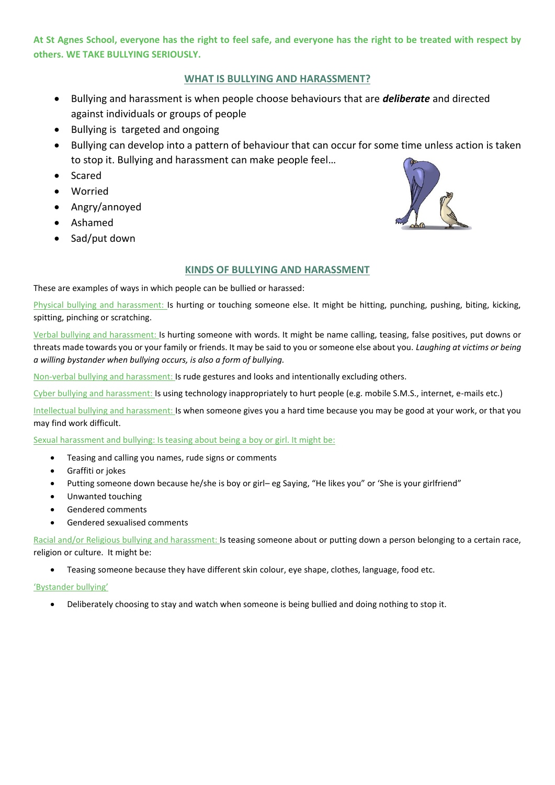**At St Agnes School, everyone has the right to feel safe, and everyone has the right to be treated with respect by others. WE TAKE BULLYING SERIOUSLY.**

#### **WHAT IS BULLYING AND HARASSMENT?**

- Bullying and harassment is when people choose behaviours that are *deliberate* and directed against individuals or groups of people
- Bullying is targeted and ongoing
- Bullying can develop into a pattern of behaviour that can occur for some time unless action is taken to stop it. Bullying and harassment can make people feel…
- Scared
- Worried
- Angry/annoyed
- Ashamed
- Sad/put down



#### **KINDS OF BULLYING AND HARASSMENT**

These are examples of ways in which people can be bullied or harassed:

Physical bullying and harassment: Is hurting or touching someone else. It might be hitting, punching, pushing, biting, kicking, spitting, pinching or scratching.

Verbal bullying and harassment: Is hurting someone with words. It might be name calling, teasing, false positives, put downs or threats made towards you or your family or friends. It may be said to you or someone else about you. *Laughing at victims or being a willing bystander when bullying occurs, is also a form of bullying.*

Non-verbal bullying and harassment: Is rude gestures and looks and intentionally excluding others.

Cyber bullying and harassment: Is using technology inappropriately to hurt people (e.g. mobile S.M.S., internet, e-mails etc.)

Intellectual bullying and harassment: Is when someone gives you a hard time because you may be good at your work, or that you may find work difficult.

Sexual harassment and bullying: Is teasing about being a boy or girl. It might be:

- Teasing and calling you names, rude signs or comments
- Graffiti or jokes
- Putting someone down because he/she is boy or girl– eg Saying, "He likes you" or 'She is your girlfriend"
- Unwanted touching
- Gendered comments
- Gendered sexualised comments

Racial and/or Religious bullying and harassment: Is teasing someone about or putting down a person belonging to a certain race, religion or culture. It might be:

Teasing someone because they have different skin colour, eye shape, clothes, language, food etc.

'Bystander bullying'

Deliberately choosing to stay and watch when someone is being bullied and doing nothing to stop it.